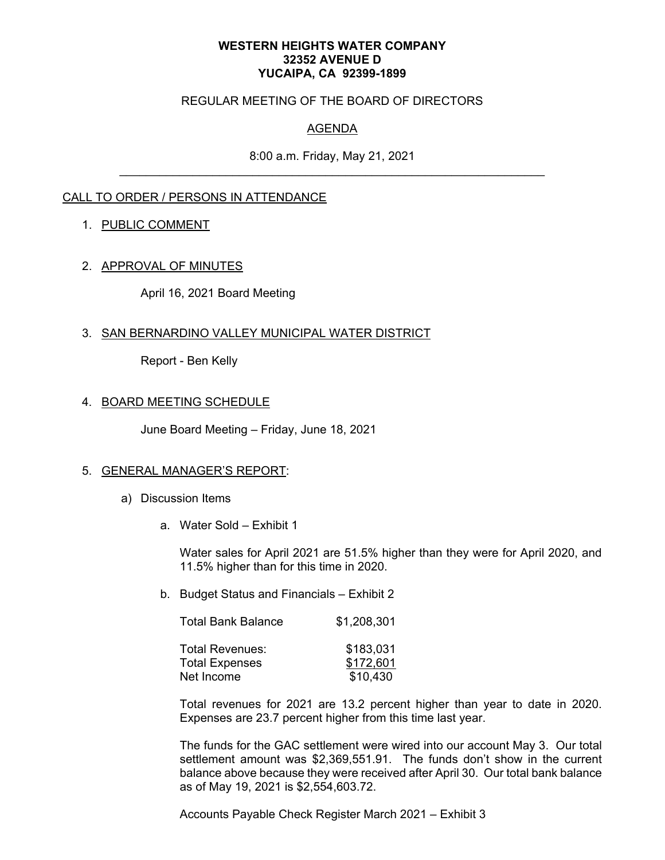#### **WESTERN HEIGHTS WATER COMPANY 32352 AVENUE D YUCAIPA, CA 92399-1899**

### REGULAR MEETING OF THE BOARD OF DIRECTORS

# AGENDA

8:00 a.m. Friday, May 21, 2021

## CALL TO ORDER / PERSONS IN ATTENDANCE

### 1. PUBLIC COMMENT

### 2. APPROVAL OF MINUTES

April 16, 2021 Board Meeting

### 3. SAN BERNARDINO VALLEY MUNICIPAL WATER DISTRICT

Report - Ben Kelly

### 4. BOARD MEETING SCHEDULE

June Board Meeting – Friday, June 18, 2021

#### 5. GENERAL MANAGER'S REPORT:

- a) Discussion Items
	- a. Water Sold Exhibit 1

Water sales for April 2021 are 51.5% higher than they were for April 2020, and 11.5% higher than for this time in 2020.

b. Budget Status and Financials – Exhibit 2

| <b>Total Bank Balance</b>                       | \$1,208,301            |
|-------------------------------------------------|------------------------|
| <b>Total Revenues:</b><br><b>Total Expenses</b> | \$183,031<br>\$172,601 |
| Net Income                                      | \$10,430               |

Total revenues for 2021 are 13.2 percent higher than year to date in 2020. Expenses are 23.7 percent higher from this time last year.

The funds for the GAC settlement were wired into our account May 3. Our total settlement amount was \$2,369,551.91. The funds don't show in the current balance above because they were received after April 30. Our total bank balance as of May 19, 2021 is \$2,554,603.72.

Accounts Payable Check Register March 2021 – Exhibit 3